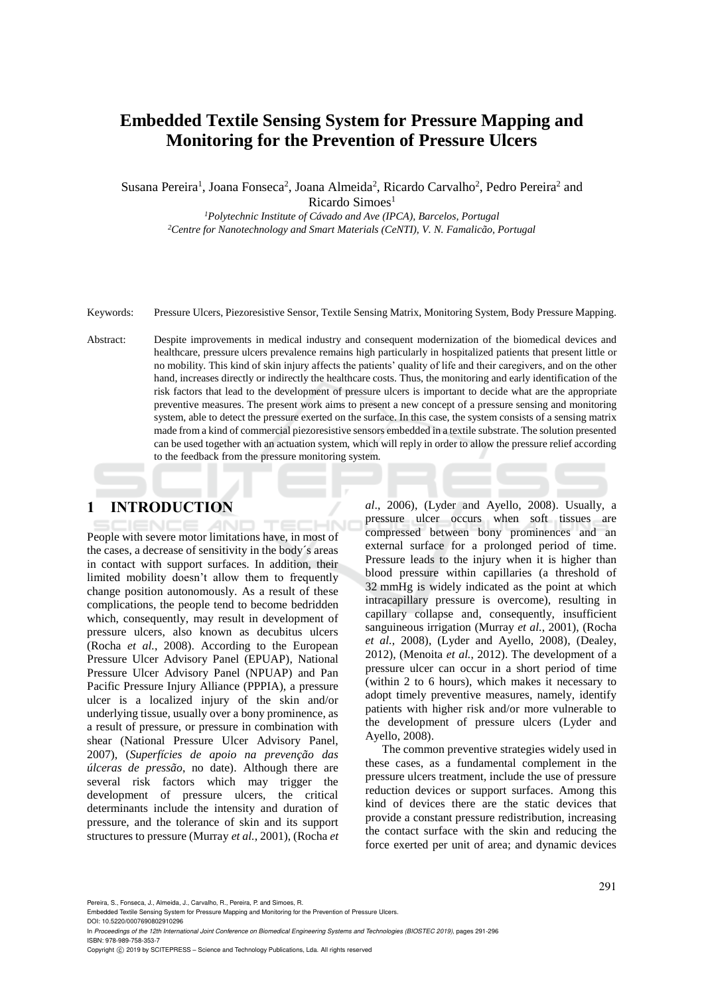# **Embedded Textile Sensing System for Pressure Mapping and Monitoring for the Prevention of Pressure Ulcers**

Susana Pereira<sup>1</sup>, Joana Fonseca<sup>2</sup>, Joana Almeida<sup>2</sup>, Ricardo Carvalho<sup>2</sup>, Pedro Pereira<sup>2</sup> and  $Ricardo Simoes<sup>1</sup>$ 

*<sup>1</sup>Polytechnic Institute of Cávado and Ave (IPCA), Barcelos, Portugal <sup>2</sup>Centre for Nanotechnology and Smart Materials (CeNTI), V. N. Famalicão, Portugal*

Keywords: Pressure Ulcers, Piezoresistive Sensor, Textile Sensing Matrix, Monitoring System, Body Pressure Mapping.

Abstract: Despite improvements in medical industry and consequent modernization of the biomedical devices and healthcare, pressure ulcers prevalence remains high particularly in hospitalized patients that present little or no mobility. This kind of skin injury affects the patients' quality of life and their caregivers, and on the other hand, increases directly or indirectly the healthcare costs. Thus, the monitoring and early identification of the risk factors that lead to the development of pressure ulcers is important to decide what are the appropriate preventive measures. The present work aims to present a new concept of a pressure sensing and monitoring system, able to detect the pressure exerted on the surface. In this case, the system consists of a sensing matrix made from a kind of commercial piezoresistive sensors embedded in a textile substrate. The solution presented can be used together with an actuation system, which will reply in order to allow the pressure relief according to the feedback from the pressure monitoring system.

# **1 INTRODUCTION**

People with severe motor limitations have, in most of the cases, a decrease of sensitivity in the body´s areas in contact with support surfaces. In addition, their limited mobility doesn't allow them to frequently change position autonomously. As a result of these complications, the people tend to become bedridden which, consequently, may result in development of pressure ulcers, also known as decubitus ulcers (Rocha *et al.*, 2008). According to the European Pressure Ulcer Advisory Panel (EPUAP), National Pressure Ulcer Advisory Panel (NPUAP) and Pan Pacific Pressure Injury Alliance (PPPIA), a pressure ulcer is a localized injury of the skin and/or underlying tissue, usually over a bony prominence, as a result of pressure, or pressure in combination with shear (National Pressure Ulcer Advisory Panel, 2007), (*Superfícies de apoio na prevenção das úlceras de pressão*, no date). Although there are several risk factors which may trigger the development of pressure ulcers, the critical determinants include the intensity and duration of pressure, and the tolerance of skin and its support structures to pressure (Murray *et al.*, 2001), (Rocha *et*  *al*., 2006), (Lyder and Ayello, 2008). Usually, a pressure ulcer occurs when soft tissues are compressed between bony prominences and an external surface for a prolonged period of time. Pressure leads to the injury when it is higher than blood pressure within capillaries (a threshold of 32 mmHg is widely indicated as the point at which intracapillary pressure is overcome), resulting in capillary collapse and, consequently, insufficient sanguineous irrigation (Murray *et al.*, 2001), (Rocha *et al.*, 2008), (Lyder and Ayello, 2008), (Dealey, 2012), (Menoita *et al.*, 2012). The development of a pressure ulcer can occur in a short period of time (within 2 to 6 hours), which makes it necessary to adopt timely preventive measures, namely, identify patients with higher risk and/or more vulnerable to the development of pressure ulcers (Lyder and Ayello, 2008).

The common preventive strategies widely used in these cases, as a fundamental complement in the pressure ulcers treatment, include the use of pressure reduction devices or support surfaces. Among this kind of devices there are the static devices that provide a constant pressure redistribution, increasing the contact surface with the skin and reducing the force exerted per unit of area; and dynamic devices

Pereira, S., Fonseca, J., Almeida, J., Carvalho, R., Pereira, P. and Simoes, R.

Copyright (C) 2019 by SCITEPRESS - Science and Technology Publications, Lda. All rights reserved

Embedded Textile Sensing System for Pressure Mapping and Monitoring for the Prevention of Pressure Ulcers. DOI: 10.5220/0007690802910296

In *Proceedings of the 12th International Joint Conference on Biomedical Engineering Systems and Technologies (BIOSTEC 2019)*, pages 291-296 ISBN: 978-989-758-353-7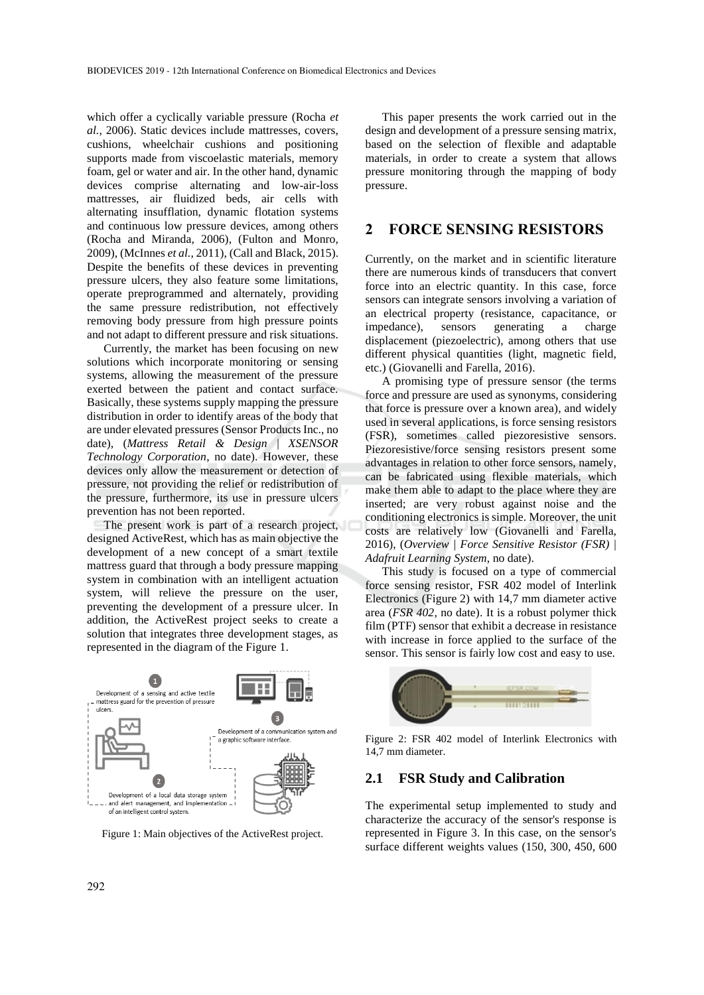which offer a cyclically variable pressure (Rocha *et al.*, 2006). Static devices include mattresses, covers, cushions, wheelchair cushions and positioning supports made from viscoelastic materials, memory foam, gel or water and air. In the other hand, dynamic devices comprise alternating and low-air-loss mattresses, air fluidized beds, air cells with alternating insufflation, dynamic flotation systems and continuous low pressure devices, among others (Rocha and Miranda, 2006), (Fulton and Monro, 2009), (McInnes *et al.*, 2011), (Call and Black, 2015). Despite the benefits of these devices in preventing pressure ulcers, they also feature some limitations, operate preprogrammed and alternately, providing the same pressure redistribution, not effectively removing body pressure from high pressure points and not adapt to different pressure and risk situations.

Currently, the market has been focusing on new solutions which incorporate monitoring or sensing systems, allowing the measurement of the pressure exerted between the patient and contact surface. Basically, these systems supply mapping the pressure distribution in order to identify areas of the body that are under elevated pressures (Sensor Products Inc., no date), (*Mattress Retail & Design* | *XSENSOR Technology Corporation*, no date). However, these devices only allow the measurement or detection of pressure, not providing the relief or redistribution of the pressure, furthermore, its use in pressure ulcers prevention has not been reported.

The present work is part of a research project, designed ActiveRest, which has as main objective the development of a new concept of a smart textile mattress guard that through a body pressure mapping system in combination with an intelligent actuation system, will relieve the pressure on the user, preventing the development of a pressure ulcer. In addition, the ActiveRest project seeks to create a solution that integrates three development stages, as represented in the diagram of the Figure 1.



Figure 1: Main objectives of the ActiveRest project.

This paper presents the work carried out in the design and development of a pressure sensing matrix, based on the selection of flexible and adaptable materials, in order to create a system that allows pressure monitoring through the mapping of body pressure.

### **2 FORCE SENSING RESISTORS**

Currently, on the market and in scientific literature there are numerous kinds of transducers that convert force into an electric quantity. In this case, force sensors can integrate sensors involving a variation of an electrical property (resistance, capacitance, or impedance), sensors generating a charge displacement (piezoelectric), among others that use different physical quantities (light, magnetic field, etc.) (Giovanelli and Farella, 2016).

A promising type of pressure sensor (the terms force and pressure are used as synonyms, considering that force is pressure over a known area), and widely used in several applications, is force sensing resistors (FSR), sometimes called piezoresistive sensors. Piezoresistive/force sensing resistors present some advantages in relation to other force sensors, namely, can be fabricated using flexible materials, which make them able to adapt to the place where they are inserted; are very robust against noise and the conditioning electronics is simple. Moreover, the unit costs are relatively low (Giovanelli and Farella, 2016), (*Overview | Force Sensitive Resistor (FSR) | Adafruit Learning System*, no date).

This study is focused on a type of commercial force sensing resistor, FSR 402 model of Interlink Electronics (Figure 2) with 14,7 mm diameter active area (*FSR 402*, no date). It is a robust polymer thick film (PTF) sensor that exhibit a decrease in resistance with increase in force applied to the surface of the sensor. This sensor is fairly low cost and easy to use.



Figure 2: FSR 402 model of Interlink Electronics with 14,7 mm diameter.

#### **2.1 FSR Study and Calibration**

The experimental setup implemented to study and characterize the accuracy of the sensor's response is represented in Figure 3. In this case, on the sensor's surface different weights values (150, 300, 450, 600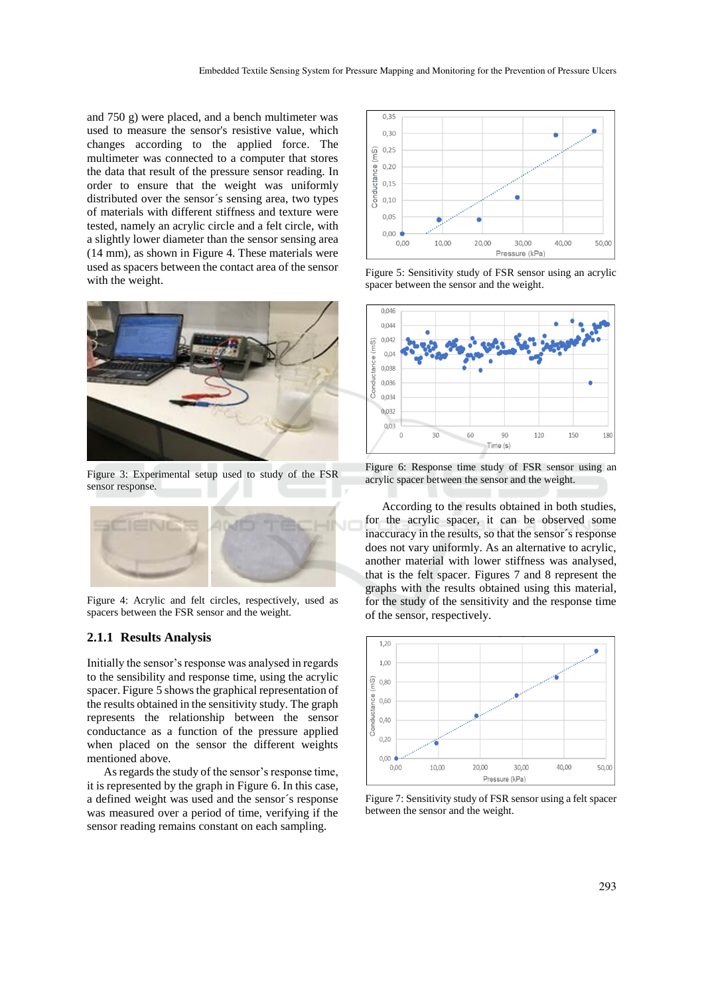and 750 g) were placed, and a bench multimeter was used to measure the sensor's resistive value, which changes according to the applied force. The multimeter was connected to a computer that stores the data that result of the pressure sensor reading. In order to ensure that the weight was uniformly distributed over the sensor´s sensing area, two types of materials with different stiffness and texture were tested, namely an acrylic circle and a felt circle, with a slightly lower diameter than the sensor sensing area (14 mm), as shown in Figure 4. These materials were used as spacers between the contact area of the sensor with the weight.



Figure 3: Experimental setup used to study of the FSR sensor response.



Figure 4: Acrylic and felt circles, respectively, used as spacers between the FSR sensor and the weight.

#### **2.1.1 Results Analysis**

Initially the sensor's response was analysed in regards to the sensibility and response time, using the acrylic spacer. Figure 5 shows the graphical representation of the results obtained in the sensitivity study. The graph represents the relationship between the sensor conductance as a function of the pressure applied when placed on the sensor the different weights mentioned above.

As regards the study of the sensor's response time, it is represented by the graph in Figure 6. In this case, a defined weight was used and the sensor´s response was measured over a period of time, verifying if the sensor reading remains constant on each sampling.



Figure 5: Sensitivity study of FSR sensor using an acrylic spacer between the sensor and the weight.



Figure 6: Response time study of FSR sensor using an acrylic spacer between the sensor and the weight.

According to the results obtained in both studies, for the acrylic spacer, it can be observed some inaccuracy in the results, so that the sensor´s response does not vary uniformly. As an alternative to acrylic, another material with lower stiffness was analysed, that is the felt spacer. Figures 7 and 8 represent the graphs with the results obtained using this material, for the study of the sensitivity and the response time of the sensor, respectively.



Figure 7: Sensitivity study of FSR sensor using a felt spacer between the sensor and the weight.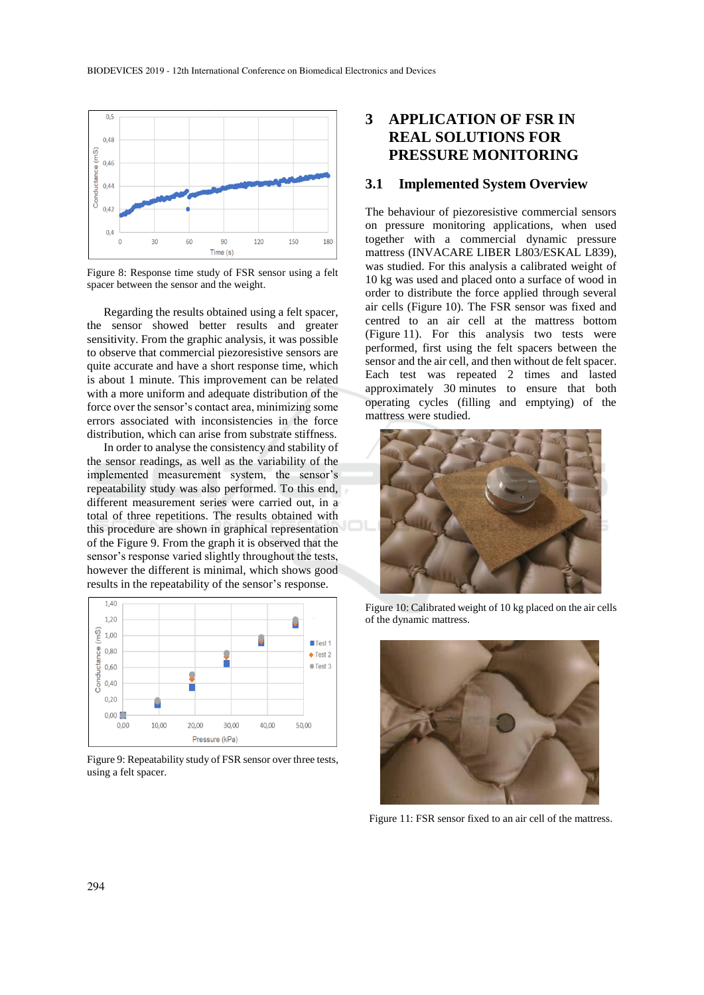

Figure 8: Response time study of FSR sensor using a felt spacer between the sensor and the weight.

Regarding the results obtained using a felt spacer, the sensor showed better results and greater sensitivity. From the graphic analysis, it was possible to observe that commercial piezoresistive sensors are quite accurate and have a short response time, which is about 1 minute. This improvement can be related with a more uniform and adequate distribution of the force over the sensor's contact area, minimizing some errors associated with inconsistencies in the force distribution, which can arise from substrate stiffness.

In order to analyse the consistency and stability of the sensor readings, as well as the variability of the implemented measurement system, the sensor's repeatability study was also performed. To this end, different measurement series were carried out, in a total of three repetitions. The results obtained with this procedure are shown in graphical representation of the Figure 9. From the graph it is observed that the sensor's response varied slightly throughout the tests, however the different is minimal, which shows good results in the repeatability of the sensor's response.



Figure 9: Repeatability study of FSR sensor over three tests, using a felt spacer.

# **3 APPLICATION OF FSR IN REAL SOLUTIONS FOR PRESSURE MONITORING**

#### **3.1 Implemented System Overview**

The behaviour of piezoresistive commercial sensors on pressure monitoring applications, when used together with a commercial dynamic pressure mattress (INVACARE LIBER L803/ESKAL L839), was studied. For this analysis a calibrated weight of 10 kg was used and placed onto a surface of wood in order to distribute the force applied through several air cells (Figure 10). The FSR sensor was fixed and centred to an air cell at the mattress bottom (Figure 11). For this analysis two tests were performed, first using the felt spacers between the sensor and the air cell, and then without de felt spacer. Each test was repeated 2 times and lasted approximately 30 minutes to ensure that both operating cycles (filling and emptying) of the mattress were studied.



Figure 10: Calibrated weight of 10 kg placed on the air cells of the dynamic mattress.



Figure 11: FSR sensor fixed to an air cell of the mattress.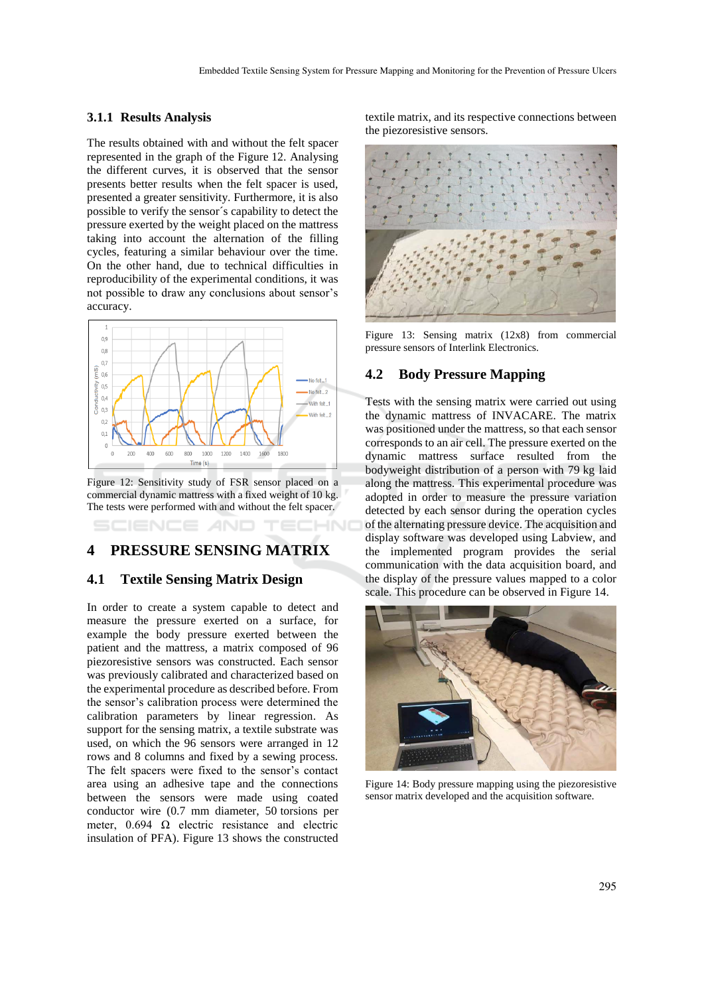#### **3.1.1 Results Analysis**

The results obtained with and without the felt spacer represented in the graph of the Figure 12. Analysing the different curves, it is observed that the sensor presents better results when the felt spacer is used, presented a greater sensitivity. Furthermore, it is also possible to verify the sensor´s capability to detect the pressure exerted by the weight placed on the mattress taking into account the alternation of the filling cycles, featuring a similar behaviour over the time. On the other hand, due to technical difficulties in reproducibility of the experimental conditions, it was not possible to draw any conclusions about sensor's accuracy.



Figure 12: Sensitivity study of FSR sensor placed on a commercial dynamic mattress with a fixed weight of 10 kg. The tests were performed with and without the felt spacer.

### **4 PRESSURE SENSING MATRIX**

### **4.1 Textile Sensing Matrix Design**

In order to create a system capable to detect and measure the pressure exerted on a surface, for example the body pressure exerted between the patient and the mattress, a matrix composed of 96 piezoresistive sensors was constructed. Each sensor was previously calibrated and characterized based on the experimental procedure as described before. From the sensor's calibration process were determined the calibration parameters by linear regression. As support for the sensing matrix, a textile substrate was used, on which the 96 sensors were arranged in 12 rows and 8 columns and fixed by a sewing process. The felt spacers were fixed to the sensor's contact area using an adhesive tape and the connections between the sensors were made using coated conductor wire (0.7 mm diameter, 50 torsions per meter,  $0.694$   $\Omega$  electric resistance and electric insulation of PFA). Figure 13 shows the constructed

textile matrix, and its respective connections between the piezoresistive sensors.



Figure 13: Sensing matrix (12x8) from commercial pressure sensors of Interlink Electronics.

#### **4.2 Body Pressure Mapping**

Tests with the sensing matrix were carried out using the dynamic mattress of INVACARE. The matrix was positioned under the mattress, so that each sensor corresponds to an air cell. The pressure exerted on the dynamic mattress surface resulted from the bodyweight distribution of a person with 79 kg laid along the mattress. This experimental procedure was adopted in order to measure the pressure variation detected by each sensor during the operation cycles of the alternating pressure device. The acquisition and display software was developed using Labview, and the implemented program provides the serial communication with the data acquisition board, and the display of the pressure values mapped to a color scale. This procedure can be observed in Figure 14.



Figure 14: Body pressure mapping using the piezoresistive sensor matrix developed and the acquisition software.